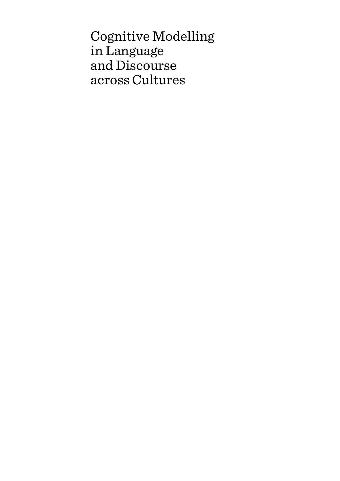Cognitive Modelling in Language and Discourse across Cultures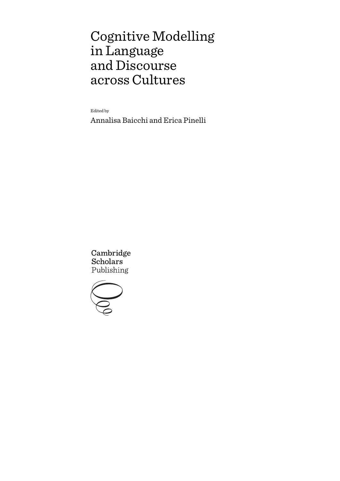# Cognitive Modelling in Language and Discourse across Cultures

Edited by

Annalisa Baicchi and Erica Pinelli

Cambridge **Scholars** Publishing

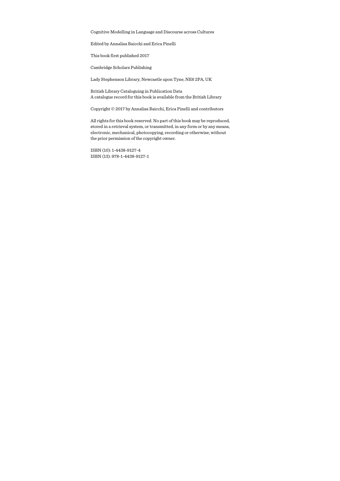Cognitive Modelling in Language and Discourse across Cultures

Edited by Annalisa Baicchi and Erica Pinelli

This book first published 2017

Cambridge Scholars Publishing

Lady Stephenson Library, Newcastle upon Tyne, NE6 2PA, UK

British Library Cataloguing in Publication Data A catalogue record for this book is available from the British Library

Copyright © 2017 by Annalisa Baicchi, Erica Pinelli and contributors

All rights for this book reserved. No part of this book may be reproduced, stored in a retrieval system, or transmitted, in any form or by any means, electronic, mechanical, photocopying, recording or otherwise, without the prior permission of the copyright owner.

ISBN (10): 1-4438-9127-4 ISBN (13): 978-1-4438-9127-1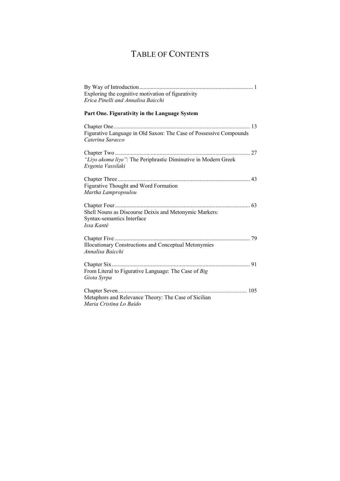# TABLE OF CONTENTS

| Exploring the cognitive motivation of figurativity                                     |
|----------------------------------------------------------------------------------------|
| Erica Pinelli and Annalisa Baicchi                                                     |
| Part One. Figurativity in the Language System                                          |
|                                                                                        |
| Figurative Language in Old Saxon: The Case of Possessive Compounds<br>Caterina Saracco |
|                                                                                        |
| "Liyo akoma liyo": The Periphrastic Diminutive in Modern Greek<br>Evgenia Vassilaki    |
|                                                                                        |
| <b>Figurative Thought and Word Formation</b>                                           |
| Martha Lampropoulou                                                                    |
|                                                                                        |
| Shell Nouns as Discourse Deixis and Metonymic Markers:                                 |
| Syntax-semantics Interface                                                             |
| Issa Kanté                                                                             |
|                                                                                        |
| <b>Illocutionary Constructions and Conceptual Metonymies</b>                           |
| Annalisa Baicchi                                                                       |
|                                                                                        |
| From Literal to Figurative Language: The Case of Big                                   |
| Giota Syrpa                                                                            |
|                                                                                        |
| Metaphors and Relevance Theory: The Case of Sicilian                                   |
| Maria Cristina Lo Baido                                                                |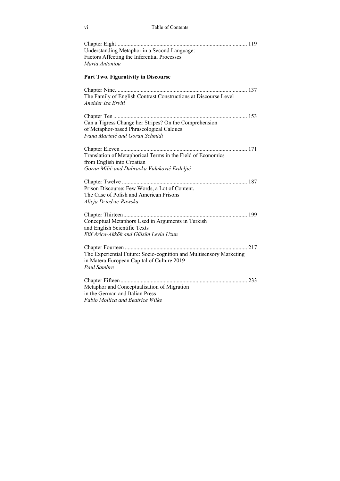| Understanding Metaphor in a Second Language:<br>Factors Affecting the Inferential Processes<br>Maria Antoniou                            |
|------------------------------------------------------------------------------------------------------------------------------------------|
| <b>Part Two. Figurativity in Discourse</b>                                                                                               |
| The Family of English Contrast Constructions at Discourse Level<br>Aneider Iza Erviti                                                    |
| Can a Tigress Change her Stripes? On the Comprehension<br>of Metaphor-based Phraseological Calques<br>Ivana Marinić and Goran Schmidt    |
| Translation of Metaphorical Terms in the Field of Economics<br>from English into Croatian<br>Goran Milić and Dubravka Vidaković Erdeljić |
| Prison Discourse: Few Words, a Lot of Content.<br>The Case of Polish and American Prisons<br>Alicja Dziedzic-Rawska                      |
| Conceptual Metaphors Used in Arguments in Turkish<br>and English Scientific Texts<br>Elif Arica-Akkök and Gülsün Leyla Uzun              |
| The Experiential Future: Socio-cognition and Multisensory Marketing<br>in Matera European Capital of Culture 2019<br>Paul Sambre         |
| Metaphor and Conceptualisation of Migration<br>in the German and Italian Press<br>Fabio Mollica and Beatrice Wilke                       |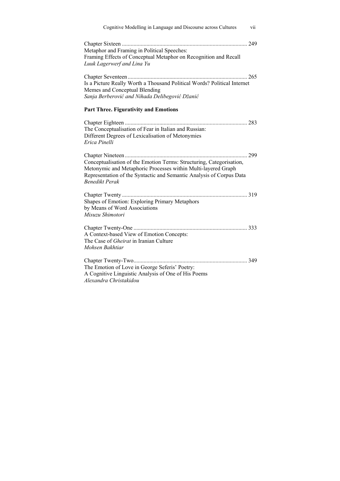| Cognitive Modelling in Language and Discourse across Cultures<br>vii                                                                                                                                                                   |
|----------------------------------------------------------------------------------------------------------------------------------------------------------------------------------------------------------------------------------------|
| Metaphor and Framing in Political Speeches:<br>Framing Effects of Conceptual Metaphor on Recognition and Recall<br>Luuk Lagerwerf and Lina Yu                                                                                          |
| Is a Picture Really Worth a Thousand Political Words? Political Internet<br>Memes and Conceptual Blending<br>Sanja Berberović and Nihada Delibegović Džanić                                                                            |
| <b>Part Three. Figurativity and Emotions</b>                                                                                                                                                                                           |
| The Conceptualisation of Fear in Italian and Russian:<br>Different Degrees of Lexicalisation of Metonymies<br>Erica Pinelli                                                                                                            |
| Conceptualisation of the Emotion Terms: Structuring, Categorisation,<br>Metonymic and Metaphoric Processes within Multi-layered Graph<br>Representation of the Syntactic and Semantic Analysis of Corpus Data<br><b>Benedikt Perak</b> |
| Shapes of Emotion: Exploring Primary Metaphors<br>by Means of Word Associations<br>Misuzu Shimotori                                                                                                                                    |
| A Context-based View of Emotion Concepts:<br>The Case of Gheirat in Iranian Culture<br>Mohsen Bakhtiar                                                                                                                                 |
| The Emotion of Love in George Seferis' Poetry:<br>A Cognitive Linguistic Analysis of One of His Poems<br>Alexandra Christakidou                                                                                                        |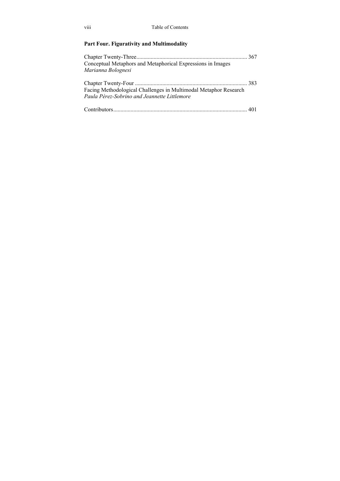### **Part Four. Figurativity and Multimodality**

| Conceptual Metaphors and Metaphorical Expressions in Images      |  |
|------------------------------------------------------------------|--|
| Marianna Bolognesi                                               |  |
|                                                                  |  |
| Facing Methodological Challenges in Multimodal Metaphor Research |  |
| Paula Pérez-Sobrino and Jeannette Littlemore                     |  |
|                                                                  |  |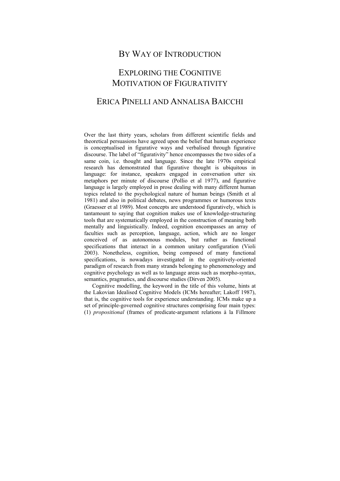### BY WAY OF INTRODUCTION

### EXPLORING THE COGNITIVE MOTIVATION OF FIGURATIVITY

### ERICA PINELLI AND ANNALISA BAICCHI

Over the last thirty years, scholars from different scientific fields and theoretical persuasions have agreed upon the belief that human experience is conceptualised in figurative ways and verbalised through figurative discourse. The label of "figurativity" hence encompasses the two sides of a same coin, i.e. thought and language. Since the late 1970s empirical research has demonstrated that figurative thought is ubiquitous in language: for instance, speakers engaged in conversation utter six metaphors per minute of discourse (Pollio et al 1977), and figurative language is largely employed in prose dealing with many different human topics related to the psychological nature of human beings (Smith et al 1981) and also in political debates, news programmes or humorous texts (Graesser et al 1989). Most concepts are understood figuratively, which is tantamount to saying that cognition makes use of knowledge-structuring tools that are systematically employed in the construction of meaning both mentally and linguistically. Indeed, cognition encompasses an array of faculties such as perception, language, action, which are no longer conceived of as autonomous modules, but rather as functional specifications that interact in a common unitary configuration (Violi 2003). Nonetheless, cognition, being composed of many functional specifications, is nowadays investigated in the cognitively-oriented paradigm of research from many strands belonging to phenomenology and cognitive psychology as well as to language areas such as morpho-syntax, semantics, pragmatics, and discourse studies (Dirven 2005).

Cognitive modelling, the keyword in the title of this volume, hints at the Lakovian Idealised Cognitive Models (ICMs hereafter; Lakoff 1987), that is, the cognitive tools for experience understanding. ICMs make up a set of principle-governed cognitive structures comprising four main types: (1) *propositional* (frames of predicate-argument relations à la Fillmore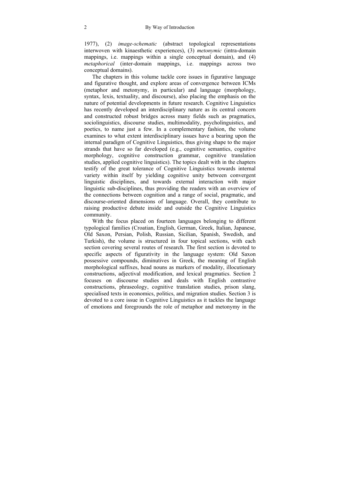1977), (2) *image-schematic* (abstract topological representations interwoven with kinaesthetic experiences), (3) *metonymic* (intra-domain mappings, i.e. mappings within a single conceptual domain), and (4) *metaphorical* (inter-domain mappings, i.e. mappings across two conceptual domains).

The chapters in this volume tackle core issues in figurative language and figurative thought, and explore areas of convergence between ICMs (metaphor and metonymy, in particular) and language (morphology, syntax, lexis, textuality, and discourse), also placing the emphasis on the nature of potential developments in future research. Cognitive Linguistics has recently developed an interdisciplinary nature as its central concern and constructed robust bridges across many fields such as pragmatics, sociolinguistics, discourse studies, multimodality, psycholinguistics, and poetics, to name just a few. In a complementary fashion, the volume examines to what extent interdisciplinary issues have a bearing upon the internal paradigm of Cognitive Linguistics, thus giving shape to the major strands that have so far developed (e.g., cognitive semantics, cognitive morphology, cognitive construction grammar, cognitive translation studies, applied cognitive linguistics). The topics dealt with in the chapters testify of the great tolerance of Cognitive Linguistics towards internal variety within itself by yielding cognitive unity between convergent linguistic disciplines, and towards external interaction with major linguistic sub-disciplines, thus providing the readers with an overview of the connections between cognition and a range of social, pragmatic, and discourse-oriented dimensions of language. Overall, they contribute to raising productive debate inside and outside the Cognitive Linguistics community.

With the focus placed on fourteen languages belonging to different typological families (Croatian, English, German, Greek, Italian, Japanese, Old Saxon, Persian, Polish, Russian, Sicilian, Spanish, Swedish, and Turkish), the volume is structured in four topical sections, with each section covering several routes of research. The first section is devoted to specific aspects of figurativity in the language system: Old Saxon possessive compounds, diminutives in Greek, the meaning of English morphological suffixes, head nouns as markers of modality, illocutionary constructions, adjectival modification, and lexical pragmatics. Section 2 focuses on discourse studies and deals with English contrastive constructions, phraseology, cognitive translation studies, prison slang, specialised texts in economics, politics, and migration studies. Section 3 is devoted to a core issue in Cognitive Linguistics as it tackles the language of emotions and foregrounds the role of metaphor and metonymy in the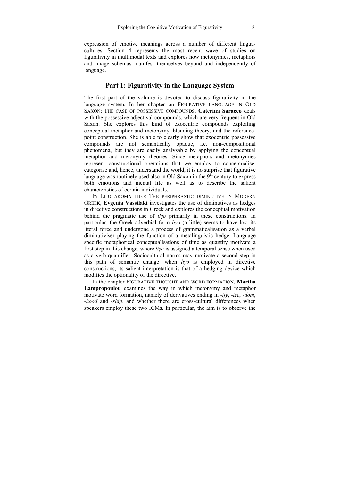expression of emotive meanings across a number of different linguacultures. Section 4 represents the most recent wave of studies on figurativity in multimodal texts and explores how metonymies, metaphors and image schemas manifest themselves beyond and independently of language.

### **Part 1: Figurativity in the Language System**

The first part of the volume is devoted to discuss figurativity in the language system. In her chapter on FIGURATIVE LANGUAGE IN OLD SAXON: THE CASE OF POSSESSIVE COMPOUNDS, **Caterina Saracco** deals with the possessive adjectival compounds, which are very frequent in Old Saxon. She explores this kind of exocentric compounds exploiting conceptual metaphor and metonymy, blending theory, and the referencepoint construction. She is able to clearly show that exocentric possessive compounds are not semantically opaque, i.e. non-compositional phenomena, but they are easily analysable by applying the conceptual metaphor and metonymy theories. Since metaphors and metonymies represent constructional operations that we employ to conceptualise, categorise and, hence, understand the world, it is no surprise that figurative language was routinely used also in Old Saxon in the  $9<sup>th</sup>$  century to express both emotions and mental life as well as to describe the salient characteristics of certain individuals.

In LIFO AKOMA LIFO: THE PERIPHRASTIC DIMINUTIVE IN MODERN GREEK, **Evgenia Vassilaki** investigates the use of diminutives as hedges in directive constructions in Greek and explores the conceptual motivation behind the pragmatic use of *liγο* primarily in these constructions. In particular, the Greek adverbial form *liγo* (a little) seems to have lost its literal force and undergone a process of grammaticalisation as a verbal diminutiviser playing the function of a metalinguistic hedge. Language specific metaphorical conceptualisations of time as quantity motivate a first step in this change, where *liγo* is assigned a temporal sense when used as a verb quantifier. Sociocultural norms may motivate a second step in this path of semantic change: when *liγo* is employed in directive constructions, its salient interpretation is that of a hedging device which modifies the optionality of the directive.

In the chapter FIGURATIVE THOUGHT AND WORD FORMATION, **Martha Lampropoulou** examines the way in which metonymy and metaphor motivate word formation, namely of derivatives ending in -*ify*, -*ize*, -*dom*, -*hood* and -*ship*, and whether there are cross-cultural differences when speakers employ these two ICMs. In particular, the aim is to observe the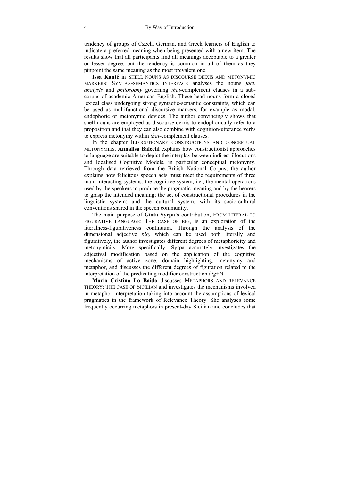tendency of groups of Czech, German, and Greek learners of English to indicate a preferred meaning when being presented with a new item. The results show that all participants find all meanings acceptable to a greater or lesser degree, but the tendency is common in all of them as they pinpoint the same meaning as the most prevalent one.

**Issa Kanté** in SHELL NOUNS AS DISCOURSE DEIXIS AND METONYMIC MARKERS: SYNTAX-SEMANTICS INTERFACE analyses the nouns *fact*, *analysis* and *philosophy* governing *that*-complement clauses in a subcorpus of academic American English. These head nouns form a closed lexical class undergoing strong syntactic-semantic constraints, which can be used as multifunctional discursive markers, for example as modal, endophoric or metonymic devices. The author convincingly shows that shell nouns are employed as discourse deixis to endophorically refer to a proposition and that they can also combine with cognition-utterance verbs to express metonymy within *that*-complement clauses.

In the chapter ILLOCUTIONARY CONSTRUCTIONS AND CONCEPTUAL METONYMIES, **Annalisa Baicchi** explains how constructionist approaches to language are suitable to depict the interplay between indirect illocutions and Idealised Cognitive Models, in particular conceptual metonymy. Through data retrieved from the British National Corpus, the author explains how felicitous speech acts must meet the requirements of three main interacting systems: the cognitive system, i.e., the mental operations used by the speakers to produce the pragmatic meaning and by the hearers to grasp the intended meaning; the set of constructional procedures in the linguistic system; and the cultural system, with its socio-cultural conventions shared in the speech community.

The main purpose of **Giota Syrpa**'s contribution, FROM LITERAL TO FIGURATIVE LANGUAGE: THE CASE OF BIG, is an exploration of the literalness-figurativeness continuum. Through the analysis of the dimensional adjective *big*, which can be used both literally and figuratively, the author investigates different degrees of metaphoricity and metonymicity. More specifically, Syrpa accurately investigates the adjectival modification based on the application of the cognitive mechanisms of active zone, domain highlighting, metonymy and metaphor, and discusses the different degrees of figuration related to the interpretation of the predicating modifier construction *big*+N.

**Maria Cristina Lo Baido** discusses METAPHORS AND RELEVANCE THEORY: THE CASE OF SICILIAN and investigates the mechanisms involved in metaphor interpretation taking into account the assumptions of lexical pragmatics in the framework of Relevance Theory. She analyses some frequently occurring metaphors in present-day Sicilian and concludes that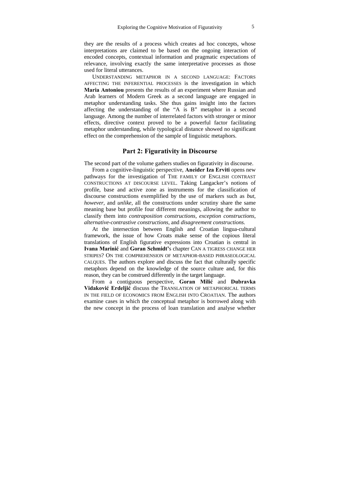they are the results of a process which creates ad hoc concepts, whose interpretations are claimed to be based on the ongoing interaction of encoded concepts, contextual information and pragmatic expectations of relevance, involving exactly the same interpretative processes as those used for literal utterances.

UNDERSTANDING METAPHOR IN A SECOND LANGUAGE: FACTORS AFFECTING THE INFERENTIAL PROCESSES is the investigation in which **Maria Antoniou** presents the results of an experiment where Russian and Arab learners of Modern Greek as a second language are engaged in metaphor understanding tasks. She thus gains insight into the factors affecting the understanding of the "A is B" metaphor in a second language. Among the number of interrelated factors with stronger or minor effects, directive context proved to be a powerful factor facilitating metaphor understanding, while typological distance showed no significant effect on the comprehension of the sample of linguistic metaphors.

### **Part 2: Figurativity in Discourse**

The second part of the volume gathers studies on figurativity in discourse.

From a cognitive-linguistic perspective, **Aneider Iza Erviti** opens new pathways for the investigation of THE FAMILY OF ENGLISH CONTRAST CONSTRUCTIONS AT DISCOURSE LEVEL. Taking Langacker's notions of profile, base and active zone as instruments for the classification of discourse constructions exemplified by the use of markers such as *but, however,* and *unlike*, all the constructions under scrutiny share the same meaning base but profile four different meanings, allowing the author to classify them into *contraposition constructions, exception constructions, alternative-contrastive constructions,* and *disagreement constructions.* 

At the intersection between English and Croatian lingua-cultural framework, the issue of how Croats make sense of the copious literal translations of English figurative expressions into Croatian is central in **Ivana Marinić** and **Goran Schmidt'**s chapter CAN A TIGRESS CHANGE HER STRIPES? ON THE COMPREHENSION OF METAPHOR-BASED PHRASEOLOGICAL CALQUES. The authors explore and discuss the fact that culturally specific metaphors depend on the knowledge of the source culture and, for this reason, they can be construed differently in the target language.

From a contiguous perspective, **Goran Milić** and **Dubravka Vidaković Erdeljić** discuss the TRANSLATION OF METAPHORICAL TERMS IN THE FIELD OF ECONOMICS FROM ENGLISH INTO CROATIAN. The authors examine cases in which the conceptual metaphor is borrowed along with the new concept in the process of loan translation and analyse whether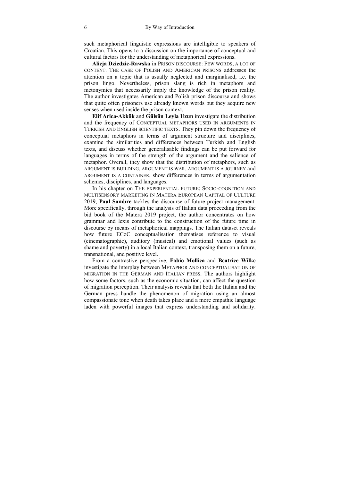such metaphorical linguistic expressions are intelligible to speakers of Croatian. This opens to a discussion on the importance of conceptual and cultural factors for the understanding of metaphorical expressions.

**Alicja Dziedzic-Rawska** in PRISON DISCOURSE: FEW WORDS, A LOT OF CONTENT. THE CASE OF POLISH AND AMERICAN PRISONS addresses the attention on a topic that is usually neglected and marginalised, i.e. the prison lingo. Nevertheless, prison slang is rich in metaphors and metonymies that necessarily imply the knowledge of the prison reality. The author investigates American and Polish prison discourse and shows that quite often prisoners use already known words but they acquire new senses when used inside the prison context.

**Elif Arica-Akkök** and **Gülsün Leyla Uzun** investigate the distribution and the frequency of CONCEPTUAL METAPHORS USED IN ARGUMENTS IN TURKISH AND ENGLISH SCIENTIFIC TEXTS. They pin down the frequency of conceptual metaphors in terms of argument structure and disciplines, examine the similarities and differences between Turkish and English texts, and discuss whether generalisable findings can be put forward for languages in terms of the strength of the argument and the salience of metaphor. Overall, they show that the distribution of metaphors, such as ARGUMENT IS BUILDING, ARGUMENT IS WAR, ARGUMENT IS A JOURNEY and ARGUMENT IS A CONTAINER, show differences in terms of argumentation schemes, disciplines, and languages.

In his chapter on THE EXPERIENTIAL FUTURE: SOCIO-COGNITION AND MULTISENSORY MARKETING IN MATERA EUROPEAN CAPITAL OF CULTURE 2019, **Paul Sambre** tackles the discourse of future project management. More specifically, through the analysis of Italian data proceeding from the bid book of the Matera 2019 project, the author concentrates on how grammar and lexis contribute to the construction of the future time in discourse by means of metaphorical mappings. The Italian dataset reveals how future ECoC conceptualisation thematises reference to visual (cinematographic), auditory (musical) and emotional values (such as shame and poverty) in a local Italian context, transposing them on a future, transnational, and positive level.

From a contrastive perspective, **Fabio Mollica** and **Beatrice Wilke** investigate the interplay between METAPHOR AND CONCEPTUALISATION OF MIGRATION IN THE GERMAN AND ITALIAN PRESS. The authors highlight how some factors, such as the economic situation, can affect the question of migration perception. Their analysis reveals that both the Italian and the German press handle the phenomenon of migration using an almost compassionate tone when death takes place and a more empathic language laden with powerful images that express understanding and solidarity.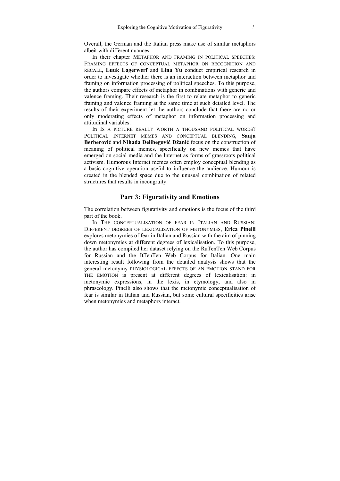Overall, the German and the Italian press make use of similar metaphors albeit with different nuances.

In their chapter METAPHOR AND FRAMING IN POLITICAL SPEECHES: FRAMING EFFECTS OF CONCEPTUAL METAPHOR ON RECOGNITION AND RECALL**, Luuk Lagerwerf** and **Lina Yu** conduct empirical research in order to investigate whether there is an interaction between metaphor and framing on information processing of political speeches. To this purpose, the authors compare effects of metaphor in combinations with generic and valence framing. Their research is the first to relate metaphor to generic framing and valence framing at the same time at such detailed level. The results of their experiment let the authors conclude that there are no or only moderating effects of metaphor on information processing and attitudinal variables.

In IS A PICTURE REALLY WORTH A THOUSAND POLITICAL WORDS? POLITICAL INTERNET MEMES AND CONCEPTUAL BLENDING, **Sanja Berberović** and **Nihada Delibegović Džanić** focus on the construction of meaning of political memes, specifically on new memes that have emerged on social media and the Internet as forms of grassroots political activism. Humorous Internet memes often employ conceptual blending as a basic cognitive operation useful to influence the audience. Humour is created in the blended space due to the unusual combination of related structures that results in incongruity.

### **Part 3: Figurativity and Emotions**

The correlation between figurativity and emotions is the focus of the third part of the book.

In THE CONCEPTUALISATION OF FEAR IN ITALIAN AND RUSSIAN: DIFFERENT DEGREES OF LEXICALISATION OF METONYMIES, **Erica Pinelli** explores metonymies of fear in Italian and Russian with the aim of pinning down metonymies at different degrees of lexicalisation. To this purpose, the author has compiled her dataset relying on the RuTenTen Web Corpus for Russian and the ItTenTen Web Corpus for Italian. One main interesting result following from the detailed analysis shows that the general metonymy PHYSIOLOGICAL EFFECTS OF AN EMOTION STAND FOR THE EMOTION is present at different degrees of lexicalisation: in metonymic expressions, in the lexis, in etymology, and also in phraseology. Pinelli also shows that the metonymic conceptualisation of fear is similar in Italian and Russian, but some cultural specificities arise when metonymies and metaphors interact.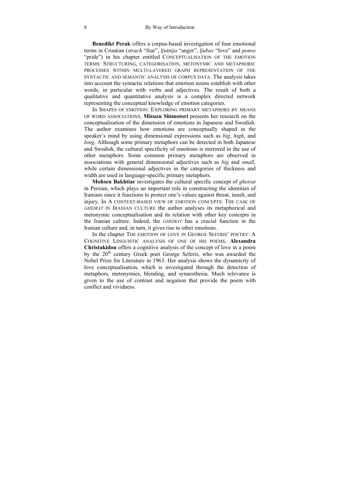**Benedikt Perak** offers a corpus-based investigation of four emotional terms in Croatian (*strach* "fear", *ljutnija* "anger", *ljubav* "love" and *ponos* "pride") in his chapter entitled CONCEPTUALISATION OF THE EMOTION TERMS: STRUCTURING, CATEGORISATION, METONYMIC AND METAPHORIC PROCESSES WITHIN MULTI-LAYERED GRAPH REPRESENTATION OF THE SYNTACTIC AND SEMANTIC ANALYSIS OF CORPUS DATA. The analysis takes into account the syntactic relations that emotion nouns establish with other words, in particular with verbs and adjectives. The result of both a qualitative and quantitative analysis is a complex directed network representing the conceptual knowledge of emotion categories.

In SHAPES OF EMOTION: EXPLORING PRIMARY METAPHORS BY MEANS OF WORD ASSOCIATIONS, **Misuzu Shimotori** presents her research on the conceptualisation of the dimension of emotions in Japanese and Swedish. The author examines how emotions are conceptually shaped in the speaker's mind by using dimensional expressions such as *big*, *high*, and *long*. Although some primary metaphors can be detected in both Japanese and Swedish, the cultural specificity of emotions is mirrored in the use of other metaphors. Some common primary metaphors are observed in associations with general dimensional adjectives such as *big* and *small*, while certain dimensional adjectives in the categories of thickness and width are used in language-specific primary metaphors.

**Mohsen Bakhtiar** investigates the cultural specific concept of *gheirat* in Persian, which plays an important role in constructing the identities of Iranians since it functions to protect one's values against threat, insult, and injury. In A CONTEXT-BASED VIEW OF EMOTION CONCEPTS: THE CASE OF *GHEIRAT* IN IRANIAN CULTURE the author analyses its metaphorical and metonymic conceptualisation and its relation with other key concepts in the Iranian culture. Indeed, the *GHEIRAT* has a crucial function in the Iranian culture and, in turn, it gives rise to other emotions.

In the chapter THE EMOTION OF LOVE IN GEORGE SEFERIS' POETRY: A COGNITIVE LINGUISTIC ANALYSIS OF ONE OF HIS POEMS, **Alexandra Christakidou** offers a cognitive analysis of the concept of love in a poem by the 20<sup>th</sup> century Greek poet George Seferis, who was awarded the Nobel Prize for Literature in 1963. Her analysis shows the dynamicity of love conceptualisation, which is investigated through the detection of metaphors, metonymies, blending, and synaesthesia. Much relevance is given to the use of contrast and negation that provide the poem with conflict and vividness.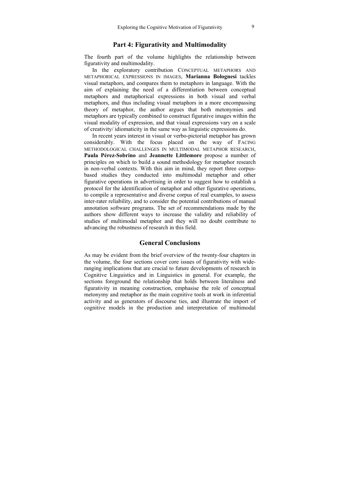### **Part 4: Figurativity and Multimodality**

The fourth part of the volume highlights the relationship between figurativity and multimodality.

In the exploratory contribution CONCEPTUAL METAPHORS AND METAPHORICAL EXPRESSIONS IN IMAGES, **Marianna Bolognesi** tackles visual metaphors, and compares them to metaphors in language. With the aim of explaining the need of a differentiation between conceptual metaphors and metaphorical expressions in both visual and verbal metaphors, and thus including visual metaphors in a more encompassing theory of metaphor, the author argues that both metonymies and metaphors are typically combined to construct figurative images within the visual modality of expression, and that visual expressions vary on a scale of creativity/ idiomaticity in the same way as linguistic expressions do.

In recent years interest in visual or verbo-pictorial metaphor has grown considerably. With the focus placed on the way of FACING METHODOLOGICAL CHALLENGES IN MULTIMODAL METAPHOR RESEARCH, **Paula Pérez-Sobrino** and **Jeannette Littlemore** propose a number of principles on which to build a sound methodology for metaphor research in non-verbal contexts. With this aim in mind, they report three corpusbased studies they conducted into multimodal metaphor and other figurative operations in advertising in order to suggest how to establish a protocol for the identification of metaphor and other figurative operations, to compile a representative and diverse corpus of real examples, to assess inter-rater reliability, and to consider the potential contributions of manual annotation software programs. The set of recommendations made by the authors show different ways to increase the validity and reliability of studies of multimodal metaphor and they will no doubt contribute to advancing the robustness of research in this field.

### **General Conclusions**

As may be evident from the brief overview of the twenty-four chapters in the volume, the four sections cover core issues of figurativity with wideranging implications that are crucial to future developments of research in Cognitive Linguistics and in Linguistics in general. For example, the sections foreground the relationship that holds between literalness and figurativity in meaning construction, emphasise the role of conceptual metonymy and metaphor as the main cognitive tools at work in inferential activity and as generators of discourse ties, and illustrate the import of cognitive models in the production and interpretation of multimodal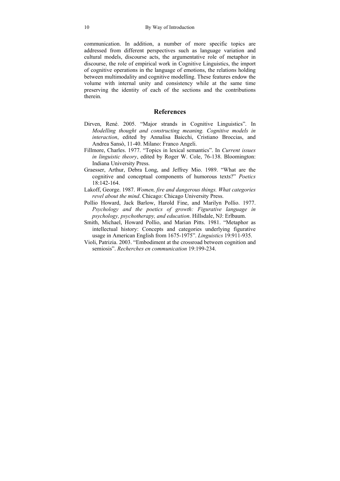communication. In addition, a number of more specific topics are addressed from different perspectives such as language variation and cultural models, discourse acts, the argumentative role of metaphor in discourse, the role of empirical work in Cognitive Linguistics, the import of cognitive operations in the language of emotions, the relations holding between multimodality and cognitive modelling. These features endow the volume with internal unity and consistency while at the same time preserving the identity of each of the sections and the contributions therein.

### **References**

- Dirven, René. 2005. "Major strands in Cognitive Linguistics". In *Modelling thought and constructing meaning. Cognitive models in interaction*, edited by Annalisa Baicchi, Cristiano Broccias, and Andrea Sansò, 11-40. Milano: Franco Angeli.
- Fillmore, Charles. 1977. "Topics in lexical semantics". In *Current issues in linguistic theory*, edited by Roger W. Cole, 76-138. Bloomington: Indiana University Press.
- Graesser, Arthur, Debra Long, and Jeffrey Mio. 1989. "What are the cognitive and conceptual components of humorous texts?" *Poetics* 18:142-164.
- Lakoff, George. 1987. *Women, fire and dangerous things. What categories revel about the mind*. Chicago: Chicago University Press.
- Pollio Howard, Jack Barlow, Harold Fine, and Marilyn Pollio. 1977. *Psychology and the poetics of growth: Figurative language in psychology, psychotherapy, and education*. Hillsdale, NJ: Erlbaum.
- Smith, Michael, Howard Pollio, and Marian Pitts. 1981. "Metaphor as intellectual history: Concepts and categories underlying figurative usage in American English from 1675-1975". *Linguistics* 19:911-935.
- Violi, Patrizia. 2003. "Embodiment at the crossroad between cognition and semiosis". *Recherches en communication* 19:199-234.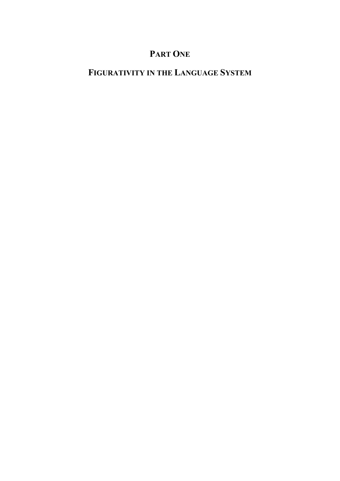## **PART ONE**

# **FIGURATIVITY IN THE LANGUAGE SYSTEM**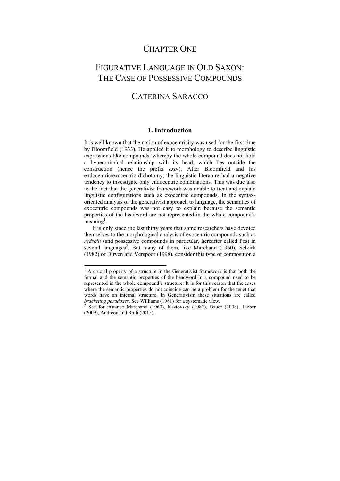### CHAPTER ONE

### FIGURATIVE LANGUAGE IN OLD SAXON: THE CASE OF POSSESSIVE COMPOUNDS

### CATERINA SARACCO

### **1. Introduction**

It is well known that the notion of exocentricity was used for the first time by Bloomfield (1933). He applied it to morphology to describe linguistic expressions like compounds, whereby the whole compound does not hold a hyperonimical relationship with its head, which lies outside the construction (hence the prefix *exo-*). After Bloomfield and his endocentric/exocentric dichotomy, the linguistic literature had a negative tendency to investigate only endocentric combinations. This was due also to the fact that the generativist framework was unable to treat and explain linguistic configurations such as exocentric compounds. In the syntaxoriented analysis of the generativist approach to language, the semantics of exocentric compounds was not easy to explain because the semantic properties of the headword are not represented in the whole compound's  $^{\circ}$ meaning<sup>1</sup>.

It is only since the last thirty years that some researchers have devoted themselves to the morphological analysis of exocentric compounds such as *redskin* (and possessive compounds in particular, hereafter called Pcs) in several languages<sup>2</sup>. But many of them, like Marchand (1960), Selkirk (1982) or Dirven and Verspoor (1998), consider this type of composition a

 $\overline{a}$ 

<sup>&</sup>lt;sup>1</sup> A crucial property of a structure in the Generativist framework is that both the formal and the semantic properties of the headword in a compound need to be represented in the whole compound's structure. It is for this reason that the cases where the semantic properties do not coincide can be a problem for the tenet that words have an internal structure. In Generativism these situations are called *bracketing paradoxes*. See Williams (1981) for a systematic view. 2

See for instance Marchand (1960), Kastovsky (1982), Bauer (2008), Lieber (2009), Andreou and Ralli (2015).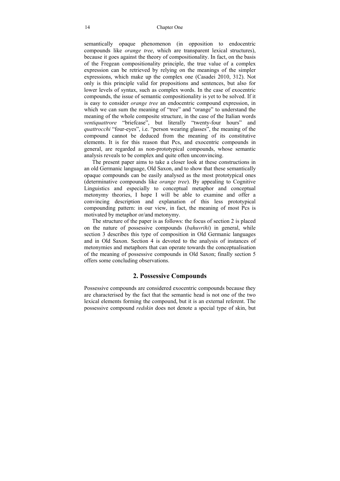semantically opaque phenomenon (in opposition to endocentric compounds like *orange tree*, which are transparent lexical structures), because it goes against the theory of compositionality. In fact, on the basis of the Fregean compositionality principle, the true value of a complex expression can be retrieved by relying on the meanings of the simpler expressions, which make up the complex one (Casadei 2010, 312). Not only is this principle valid for propositions and sentences, but also for lower levels of syntax, such as complex words. In the case of exocentric compounds, the issue of semantic compositionality is yet to be solved. If it is easy to consider *orange tree* an endocentric compound expression, in which we can sum the meaning of "tree" and "orange" to understand the meaning of the whole composite structure, in the case of the Italian words *ventiquattrore* "briefcase", but literally "twenty-four hours" and *quattrocchi* "four-eyes", i.e. "person wearing glasses", the meaning of the compound cannot be deduced from the meaning of its constitutive elements. It is for this reason that Pcs, and exocentric compounds in general, are regarded as non-prototypical compounds, whose semantic analysis reveals to be complex and quite often unconvincing.

The present paper aims to take a closer look at these constructions in an old Germanic language, Old Saxon, and to show that these semantically opaque compounds can be easily analysed as the most prototypical ones (determinative compounds like *orange tree*). By appealing to Cognitive Linguistics and especially to conceptual metaphor and conceptual metonymy theories, I hope I will be able to examine and offer a convincing description and explanation of this less prototypical compounding pattern: in our view, in fact, the meaning of most Pcs is motivated by metaphor or/and metonymy.

The structure of the paper is as follows: the focus of section 2 is placed on the nature of possessive compounds (*bahuvrihi*) in general, while section 3 describes this type of composition in Old Germanic languages and in Old Saxon. Section 4 is devoted to the analysis of instances of metonymies and metaphors that can operate towards the conceptualisation of the meaning of possessive compounds in Old Saxon; finally section 5 offers some concluding observations.

### **2. Possessive Compounds**

Possessive compounds are considered exocentric compounds because they are characterised by the fact that the semantic head is not one of the two lexical elements forming the compound, but it is an external referent. The possessive compound *redskin* does not denote a special type of skin, but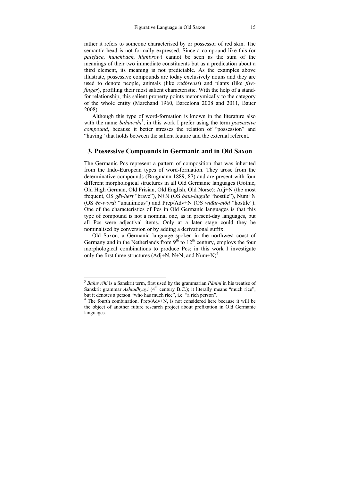rather it refers to someone characterised by or possessor of red skin. The semantic head is not formally expressed. Since a compound like this (or *paleface*, *hunchback*, *highbrow*) cannot be seen as the sum of the meanings of their two immediate constituents but as a predication about a third element, its meaning is not predictable. As the examples above illustrate, possessive compounds are today exclusively nouns and they are used to denote people, animals (like *redbreast*) and plants (like *fivefinger*), profiling their most salient characteristic. With the help of a standfor relationship, this salient property points metonymically to the category of the whole entity (Marchand 1960, Barcelona 2008 and 2011, Bauer 2008).

Although this type of word-formation is known in the literature also with the name *bahuvrīhi*<sup>3</sup>, in this work I prefer using the term *possessive compound*, because it better stresses the relation of "possession" and "having" that holds between the salient feature and the external referent.

### **3. Possessive Compounds in Germanic and in Old Saxon**

The Germanic Pcs represent a pattern of composition that was inherited from the Indo-European types of word-formation. They arose from the determinative compounds (Brugmann 1889, 87) and are present with four different morphological structures in all Old Germanic languages (Gothic, Old High German, Old Frisian, Old English, Old Norse): Adj+N (the most frequent, OS *gēl-hert* "brave"), N+N (OS *balu-hugdig* "hostile"), Num+N (OS *ēn-wordi* "unanimous") and Prep/Adv+N (OS *wiđar-mōd* "hostile"). One of the characteristics of Pcs in Old Germanic languages is that this type of compound is not a nominal one, as in present-day languages, but all Pcs were adjectival items. Only at a later stage could they be nominalised by conversion or by adding a derivational suffix.

Old Saxon, a Germanic language spoken in the northwest coast of Germany and in the Netherlands from  $9<sup>th</sup>$  to  $12<sup>th</sup>$  century, employs the four morphological combinations to produce Pcs; in this work I investigate only the first three structures (Adj+N, N+N, and Num+N)<sup>4</sup>.

<sup>3</sup>  *Bahuvrīhi* is a Sanskrit term, first used by the grammarian *Pānini* in his treatise of Sanskrit grammar *Ashtadhyayi* (4<sup>th</sup> century B.C.); it literally means "much rice", but it denotes a person "who has much rice", i.e. "a rich person".

<sup>&</sup>lt;sup>4</sup> The fourth combination, Prep/Adv+N, is not considered here because it will be the object of another future research project about prefixation in Old Germanic languages.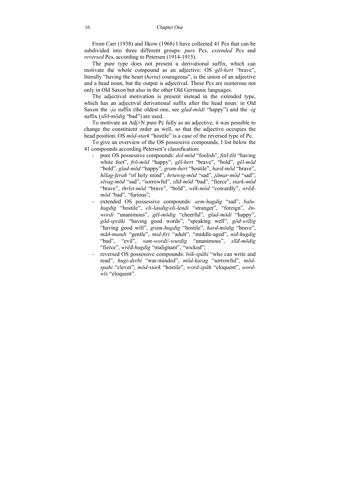From Carr (1938) and Ilkow (1968) I have collected 41 Pcs that can be subdivided into three different groups: *pure* Pcs, *extended* Pcs and *reversed* Pcs, according to Petersen (1914-1915).

The pure type does not present a derivational suffix, which can motivate the whole compound as an adjective: OS *gēl-hert* "brave", literally "having the heart (*herta*) courageous", is the union of an adjective and a head noun, but the output is adjectival. These Pcs are numerous not only in Old Saxon but also in the other Old Germanic languages.

The adjectival motivation is present instead in the extended type, which has an adjectival derivational suffix after the head noun: in Old Saxon the *-ja* suffix (the oldest one, see *glad-mōdi* "happy") and the *-ig*  suffix (*slīð-mōdig* "bad") are used.

To motivate an Adj+N pure Pc fully as an adjective, it was possible to change the constituent order as well, so that the adjective occupies the head position: OS *mōd-stark* "hostile" is a case of the reversed type of Pc.

To give an overview of the OS possessive compounds, I list below the 41 compounds according Petersen's classification:

- pure OS possessive compounds: *dol-mōd* "foolish", *fitil-fōt* "having white feet", *frō-mōd* "happy", *gēl-hert* "brave", "bold", *gēl-mōd* "bold", *glad-mōd* "happy", *gram-hert* "hostile", *hard-mōd* "brave", *hēlag-ferah* "of holy mind", *hriuwig-mōd* "sad", *jāmar-mōd* "sad", *sērag-mōd* "sad", "sorrowful", *slīđ-mōd* "bad", "fierce", *stark-mōd* "brave", *thrīst-mōd* "brave", "bold", *wēk-mōd* "cowardly", *wrēđmōd* "bad", "furious";
- extended OS possessive compounds: *arm-hugdig* "sad", *baluhugdig* "hostile", *eli-landig*/*eli-lendi* "stranger", "foreign", *ēnwordi* "unanimous", *gēl-mōdig* "cheerful", *glad-mōdi* "happy", *gōd-sprāki* "having good words", "speaking well", *gōd-willig* "having good will", *gram-hugdig* "hostile", *hard-mōdig* "brave", *māð-mundi* "gentle", *mid-firi* "adult", "middle-aged", *niđ-hugdig* "bad", "evil", *sam-wordi*/-*wurdig* "unanimous", *slīđ-mōdig* "fierce", *wrēđ-hugdig* "malignant", "wicked";
- reversed OS possessive compounds: *bōk-spāhi* "who can write and read", *hugi-derbi* "war-minded", *mōd-karag* "sorrowful", *mōdspahi* "clever", *mōd-stark* "hostile", *word-spāh* "eloquent", *wordwīs* "eloquent".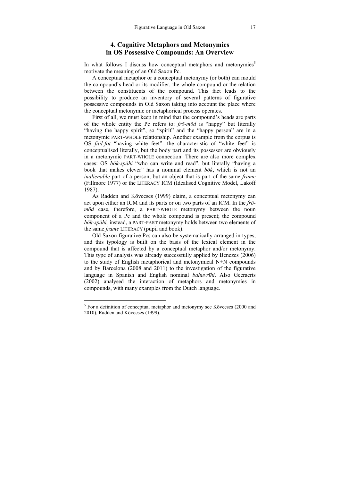### **4. Cognitive Metaphors and Metonymies in OS Possessive Compounds: An Overview**

In what follows I discuss how conceptual metaphors and metonymies<sup>5</sup> motivate the meaning of an Old Saxon Pc.

A conceptual metaphor or a conceptual metonymy (or both) can mould the compound's head or its modifier, the whole compound or the relation between the constituents of the compound. This fact leads to the possibility to produce an inventory of several patterns of figurative possessive compounds in Old Saxon taking into account the place where the conceptual metonymic or metaphorical process operates.

First of all, we must keep in mind that the compound's heads are parts of the whole entity the Pc refers to: *frō-mōd* is "happy" but literally "having the happy spirit", so "spirit" and the "happy person" are in a metonymic PART-WHOLE relationship. Another example from the corpus is OS *fitil-fōt* "having white feet": the characteristic of "white feet" is conceptualised literally, but the body part and its possessor are obviously in a metonymic PART-WHOLE connection. There are also more complex cases: OS *bōk-spāhi* "who can write and read", but literally "having a book that makes clever" has a nominal element  $b\bar{o}k$ , which is not an *inalienable* part of a person, but an object that is part of the same *frame*  (Fillmore 1977) or the LITERACY ICM (Idealised Cognitive Model, Lakoff 1987).

As Radden and Kövecses (1999) claim, a conceptual metonymy can act upon either an ICM and its parts or on two parts of an ICM. In the *frōmōd* case, therefore, a PART-WHOLE metonymy between the noun component of a Pc and the whole compound is present; the compound *bōk-spāhi,* instead, a PART-PART metonymy holds between two elements of the same *frame* LITERACY (pupil and book).

Old Saxon figurative Pcs can also be systematically arranged in types, and this typology is built on the basis of the lexical element in the compound that is affected by a conceptual metaphor and/or metonymy. This type of analysis was already successfully applied by Benczes (2006) to the study of English metaphorical and metonymical N+N compounds and by Barcelona (2008 and 2011) to the investigation of the figurative language in Spanish and English nominal *bahuvrīhi*. Also Geeraerts (2002) analysed the interaction of metaphors and metonymies in compounds, with many examples from the Dutch language.

<sup>&</sup>lt;sup>5</sup> For a definition of conceptual metaphor and metonymy see Kövecses (2000 and 2010), Radden and Kövecses (1999).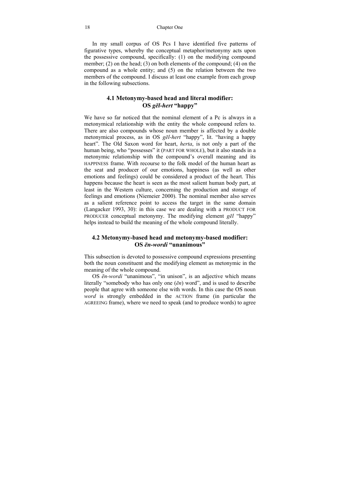#### 18 Chapter One

In my small corpus of OS Pcs I have identified five patterns of figurative types, whereby the conceptual metaphor/metonymy acts upon the possessive compound, specifically: (1) on the modifying compound member; (2) on the head; (3) on both elements of the compound; (4) on the compound as a whole entity; and (5) on the relation between the two members of the compound. I discuss at least one example from each group in the following subsections.

### **4.1 Metonymy-based head and literal modifier: OS** *gēl-hert* **"happy"**

We have so far noticed that the nominal element of a Pc is always in a metonymical relationship with the entity the whole compound refers to. There are also compounds whose noun member is affected by a double metonymical process, as in OS *gēl-hert* "happy", lit. "having a happy heart". The Old Saxon word for heart, *herta*, is not only a part of the human being, who "possesses" it (PART FOR WHOLE), but it also stands in a metonymic relationship with the compound's overall meaning and its HAPPINESS frame. With recourse to the folk model of the human heart as the seat and producer of our emotions, happiness (as well as other emotions and feelings) could be considered a product of the heart. This happens because the heart is seen as the most salient human body part, at least in the Western culture, concerning the production and storage of feelings and emotions (Niemeier 2000). The nominal member also serves as a salient reference point to access the target in the same domain (Langacker 1993, 30): in this case we are dealing with a PRODUCT FOR PRODUCER conceptual metonymy. The modifying element *gēl* "happy" helps instead to build the meaning of the whole compound literally.

#### **4.2 Metonymy-based head and metonymy-based modifier: OS** *ēn-wordi* **"unanimous"**

This subsection is devoted to possessive compound expressions presenting both the noun constituent and the modifying element as metonymic in the meaning of the whole compound.

OS *ēn-wordi* "unanimous", "in unison", is an adjective which means literally "somebody who has only one (*ēn*) word", and is used to describe people that agree with someone else with words. In this case the OS noun *word* is strongly embedded in the ACTION frame (in particular the AGREEING frame), where we need to speak (and to produce words) to agree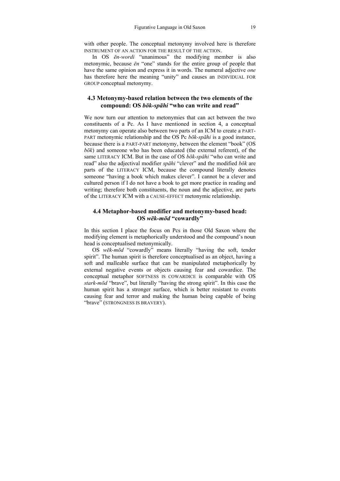with other people. The conceptual metonymy involved here is therefore INSTRUMENT OF AN ACTION FOR THE RESULT OF THE ACTION.

In OS *ēn-wordi* "unanimous" the modifying member is also metonymic, because *ēn* "one" stands for the entire group of people that have the same opinion and express it in words. The numeral adjective *one* has therefore here the meaning "unity" and causes an INDIVIDUAL FOR GROUP conceptual metonymy.

#### **4.3 Metonymy-based relation between the two elements of the compound: OS** *bōk-spāhi* **"who can write and read"**

We now turn our attention to metonymies that can act between the two constituents of a Pc. As I have mentioned in section 4, a conceptual metonymy can operate also between two parts of an ICM to create a PART-PART metonymic relationship and the OS Pc *bōk-spāhi* is a good instance, because there is a PART-PART metonymy, between the element "book" (OS *bōk*) and someone who has been educated (the external referent), of the same LITERACY ICM. But in the case of OS *bōk-spāhi* "who can write and read" also the adjectival modifier *spāhi* "clever" and the modified *bōk* are parts of the LITERACY ICM, because the compound literally denotes someone "having a book which makes clever". I cannot be a clever and cultured person if I do not have a book to get more practice in reading and writing; therefore both constituents, the noun and the adjective, are parts of the LITERACY ICM with a CAUSE-EFFECT metonymic relationship.

### **4.4 Metaphor-based modifier and metonymy-based head: OS** *wēk-mōd* **"cowardly"**

In this section I place the focus on Pcs in those Old Saxon where the modifying element is metaphorically understood and the compound's noun head is conceptualised metonymically.

OS *wēk-mōd* "cowardly" means literally "having the soft, tender spirit". The human spirit is therefore conceptualised as an object, having a soft and malleable surface that can be manipulated metaphorically by external negative events or objects causing fear and cowardice. The conceptual metaphor SOFTNESS IS COWARDICE is comparable with OS *stark-mōd* "brave", but literally "having the strong spirit". In this case the human spirit has a stronger surface, which is better resistant to events causing fear and terror and making the human being capable of being "brave" (STRONGNESS IS BRAVERY).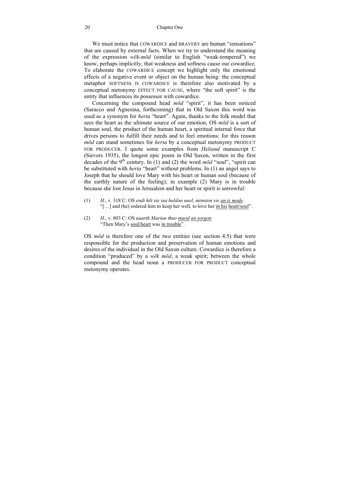We must notice that COWARDICE and BRAVERY are human "sensations" that are caused by external facts. When we try to understand the meaning of the expression *wēk-mōd* (similar to English "weak-tempered") we know, perhaps implicitly, that weakness and softness cause our cowardice. To elaborate the COWARDICE concept we highlight only the emotional effects of a negative event or object on the human being: the conceptual metaphor SOFTNESS IS COWARDICE is therefore also motivated by a conceptual metonymy EFFECT FOR CAUSE, where "the soft spirit" is the entity that influences its possessor with cowardice.

Concerning the compound head *mōd* "spirit", it has been noticed (Saracco and Agnesina, forthcoming) that in Old Saxon this word was used as a synonym for *herta* "heart". Again, thanks to the folk model that sees the heart as the ultimate source of our emotion, OS *mōd* is a sort of human soul, the product of the human heart, a spiritual internal force that drives persons to fulfill their needs and to feel emotions: for this reason *mōd* can stand sometimes for *herta* by a conceptual metonymy PRODUCT FOR PRODUCER. I quote some examples from *Heliand* manuscript C (Sievers 1935), the longest epic poem in Old Saxon, written in the first decades of the 9<sup>th</sup> century. In (1) and (2) the word  $m\bar{o}d$  "soul", "spirit can be substituted with *herta* "heart" without problems. In (1) an angel says to Joseph that he should love Mary with his heart or human soul (because of the earthly nature of the feeling); in example (2) Mary is in trouble because she lost Jesus in Jerusalem and her heart or spirit is sorrowful:

- (1) *H*., v. 318 C: OS *endi hēt sie ina haldan uuel, minnion sie an is mode*  "[…] and (he) ordered him to keep her well, to love her in his heart/soul".
- (2) *H*., v. 803 C: OS *uuarth Mariun thuo muod an sorgon*  "Then Mary's soul/heart was in trouble".

OS *mōd* is therefore one of the two entities (see section 4.5) that were responsible for the production and preservation of human emotions and desires of the individual in the Old Saxon culture. Cowardice is therefore a condition "produced" by a *wēk mōd*, a weak spirit; between the whole compound and the head noun a PRODUCER FOR PRODUCT conceptual metonymy operates.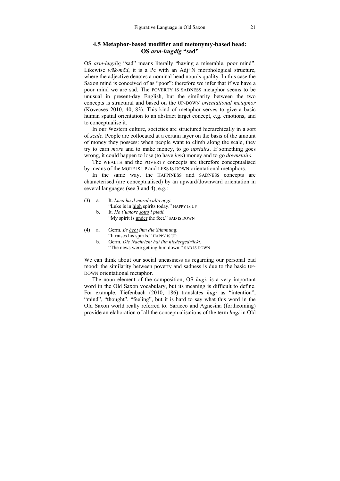#### **4.5 Metaphor-based modifier and metonymy-based head: OS** *arm-hugdig* **"sad"**

OS *arm-hugdig* "sad" means literally "having a miserable, poor mind". Likewise *wēk-mōd*, it is a Pc with an Adj+N morphological structure, where the adjective denotes a nominal head noun's quality. In this case the Saxon mind is conceived of as "poor": therefore we infer that if we have a poor mind we are sad. The POVERTY IS SADNESS metaphor seems to be unusual in present-day English, but the similarity between the two concepts is structural and based on the UP-DOWN *orientational metaphor*  (Kövecses 2010, 40, 83). This kind of metaphor serves to give a basic human spatial orientation to an abstract target concept, e.g. emotions, and to conceptualise it.

In our Western culture, societies are structured hierarchically in a sort of *scale*. People are collocated at a certain layer on the basis of the amount of money they possess: when people want to climb along the scale, they try to earn *more* and to make money, to go *upstairs*. If something goes wrong, it could happen to lose (to have *less*) money and to go *downstairs*.

The WEALTH and the POVERTY concepts are therefore conceptualised by means of the MORE IS UP and LESS IS DOWN orientational metaphors.

In the same way, the HAPPINESS and SADNESS concepts are characterised (are conceptualised) by an upward/downward orientation in several languages (see 3 and 4), e.g.:

- (3) a. It. *Luca ha il morale alto oggi.*  "Luke is in high spirits today." HAPPY IS UP
	- b. It. *Ho l'umore sotto i piedi.*  "My spirit is under the feet." SAD IS DOWN

| (4) | Germ. Es hebt ihm die Stimmung.      |
|-----|--------------------------------------|
|     | "It raises his spirits." HAPPY IS UP |
|     |                                      |

b. Germ. *Die Nachricht hat ihn niedergedrückt.* "The news were getting him down." SAD IS DOWN

We can think about our social uneasiness as regarding our personal bad mood: the similarity between poverty and sadness is due to the basic UP-DOWN orientational metaphor.

The noun element of the composition, OS *hugi*, is a very important word in the Old Saxon vocabulary, but its meaning is difficult to define. For example, Tiefenbach (2010, 186) translates *hugi* as "intention", "mind", "thought", "feeling", but it is hard to say what this word in the Old Saxon world really referred to. Saracco and Agnesina (forthcoming) provide an elaboration of all the conceptualisations of the term *hugi* in Old